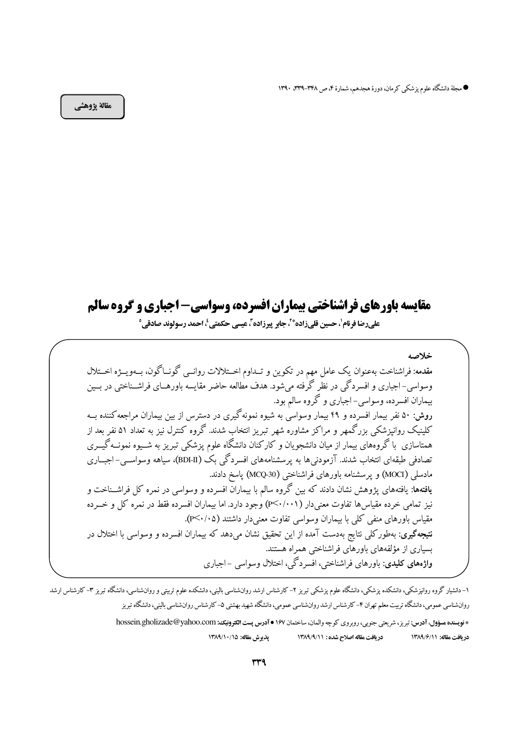● مجلة دانشگاه علوم پزشكي كرمان، دورة هجدهم، شمارة ۴، ص ٣٣٨-٣٣٩. ١٣٩٠

مقالة يژوهشي

# مقایسه باورهای فراشناختی بیماران افسرده، وسواسی- اجباری و گروه سالم علىرضا فرنام'، حسين قليزاده\*'ً، جابر پيرزاده<sup>7</sup>، عيسى حكمتي <sup>؛</sup>، احمد رسولوند صادقي°

خلاصه مقدمه: فراشناخت بهعنوان یک عامل مهم در تکوین و تــداوم اخــتلالات روانــی گونــاگون، بــهویــژه اخــتلال وسواسي-اجباري و افسردگي در نظر گرفته مي شود. هدف مطالعه حاضر مقايسه باورهــاي فراشــناختي در بــين بیماران افسرده، وسواسی-اجباری و گروه سالم بود. روش: ۵۰ نفر بیمار افسرده و ۴۹ بیمار وسواسی به شیوه نمونهگیری در دسترس از بین بیماران مراجعه کننده بــه کلینیک روانپزشکی بزرگمهر و مراکز مشاوره شهر تبریز انتخاب شدند. گروه کنترل نیز به تعداد ۵۱ نفر بعد از همتاسازی با گروههای بیمار از میان دانشجویان و کارکنان دانشگاه علوم پزشکی تبریز به شــیوه نمونــه گیــری تصادفی طبقهای انتخاب شدند. آزمودنیها به پرسشنامههای افسردگی بک (BDI-I)، سیاهه وسواســی- اجبــاری مادسلم (MOCI) و يرسشنامه باورهاي فراشناختي (MCQ-30) ياسخ دادند. **یافتهها**: یافتههای یژوهش نشان دادند که بین گروه سالم با بیماران افسرده و وسواسی در نمره کل فراشــناخت و نیز تمامی خرده مقیاس ها تفاوت معنی دار ( ۱۰۰/ ۳<۰/۰) وجود دارد. اما بیماران افسرده فقط در نمره کل و خــرده مقیاس باورهای منفی کلی با بیماران وسواسی تفاوت معنی دار داشتند (P<۰/۰۵). <mark>نتیجهگیری</mark>: بهطورکلی نتایج بهدست آمده از این تحقیق نشان می دهد که بیماران افسرده و وسواسی با اختلال در بسیاری از مؤلفههای باورهای فراشناختی همراه هستند. و**اژههای کلیدی**: باورهای فراشناختی، افسردگی، اختلال وسواسی –اجباری

۱– دانشیار گروه روانپزشکی، دانشکده پزشکی، دانشگاه علوم پزشکی تبریز ۲– کارشناس رارشد روانشکله علوم تربیتی و روان شناسی، دانشگاه تبریز ۳– کارشناس ارشد روانشناسي عمومي، دانشگاه ترييت معلم تهران ۴–كارشناس ارشد روانشناسي عمومي، دانشگاه شهيد بهشتي ۵–كارشناس روانشناسي باليني، دانشگاه تبريز

> \* فويسنده سؤول، آدرس: تبريز، شريعتي جنوبي، روبروي كوجه والمان، ساختمان ١۶٧ • آدرس يست الكترونيك: hossein.gholizade@yahoo.com يذيرش مقاله: ١٣٨٩/١٠/١٥ دريافت مقاله اصلاح شده: ١٣٨٩/٩/١١ در بافت مقاله: ١٣٨٩/٤/١٣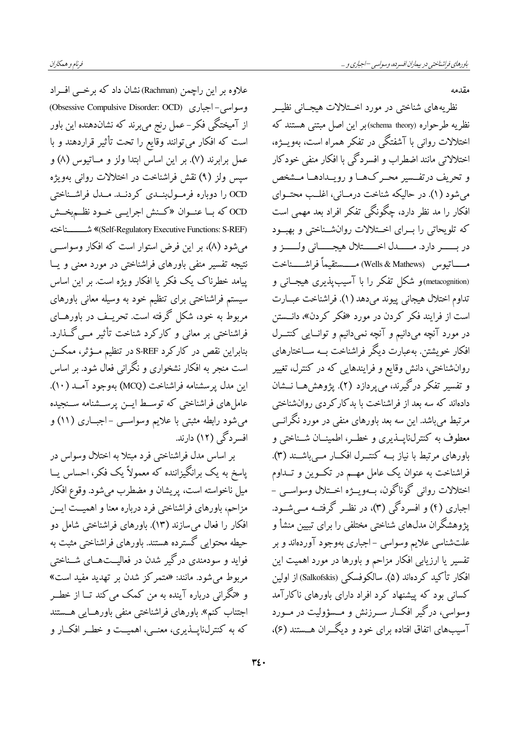علاوه بر این راچمن (Rachman) نشان داد که برخــی افــراد وسواسي-اجباري (Obsessive Compulsive Disorder: OCD) از آمیختگی فکر – عمل رنج میبرند که نشاندهنده این باور است که افکار می توانند وقایع را تحت تأثیر قراردهند و با عمل برابرند (۷). بر این اساس ابتدا ولز و مــاتیوس (۸) و سيس ولز (٩) نقش فراشناخت در اختلالات رواني بهويژه OCD را دوباره فرمــول(بنــدي كردنــد. مــدل فراشــناختي OCD که بـا عنـوان «کـنش اجرایـی خـود نظـم.بخـش (Self-Regulatory Executive Functions: S-REF) شـــــــناخته می شود (۸)، بر این فرض استوار است که افکار وسواسی نتیجه تفسیر منفی باورهای فراشناختی در مورد معنی و یــا پیامد خطرناک یک فکر یا افکار ویژه است. بر این اساس سیستم فراشناختی برای تنظیم خود به وسیله معانی باورهای مربوط به خود، شکل گرفته است. تحریــف در باورهــای .<br>فراشناختی بر معانی و کارکرد شناخت تأثیر مــی *گــذ*ارد. بنابراین نقص در کارکرد S-REF در تنظیم مــؤثر، ممکــن است منجر به افکار نشخواری و نگرانی فعال شود. بر اساس اين مدل يرسشنامه فراشناخت (MCQ) بهوجود آمــد (١٠). عامل های فراشناختی که توسـط ایــن پرســشنامه ســنجیده مي شود رابطه مثبتي با علايم وسواســي -اجبــاري (١١) و افسر دگی (۱۲) دارند.

بر اساس مدل فراشناختی فرد مبتلا به اختلال وسواس در پاسخ به یک برانگیزاننده که معمولاً یک فکر، احساس یــا ميل ناخواسته است، پريشان و مضطرب مي شود. وقوع افكار مزاحم، باورهای فراشناختی فرد درباره معنا و اهمیــتّ ایــن افکار را فعال میسازند (۱۳). باورهای فراشناختی شامل دو حیطه محتوایی گسترده هستند. باورهای فراشناختی مثبت به فواید و سودمندی درگیر شدن در فعالیــتهــای شــناختی مربوط می شود. مانند: «متمرکز شدن بر تهدید مفید است» و «نگرانی درباره آینده به من کمک می کند تــا از خطــر اجتناب كنم». باورهاى فراشناختى منفى باورهـايى هــستند که به کنترلناپــذیری، معنــی، اهمیــت و خطــر افکــار و

مقدمه

نظریههای شناختی در مورد اخـتلالات هیجــانی نظیــر نظريه طرحواره (schema theory)بر اين اصل مبتنى هستند كه اختلالات روانی با آشفتگی در تفکر همراه است، بهویـــژه، اختلالاتی مانند اضطراب و افسردگی با افکار منفی خودکار و تحریف درتفسیر محـرکهـا و رویـدادهـا مــشخص می شود (۱). در حالیکه شناخت درمــانی، اغلــب محتــوای افکار را مد نظر دارد، چگونگی تفکر افراد بعد مهمی است که تلویحاتی را بـرای اخــتلالات روانشــناختی و بهبــود در بـــــــر دارد. مـــــــدل اخــــــتلال هيجــــــاني ولــــــز و مـــــاتيوس (Wells & Mathews) مـــــستقيماً فراشـــــناخت (metacognition)و شکل تفکر را با آسیب پذیری هیجــانی و تداوم اختلال هيجاني پيوند مي دهد (١). فراشناخت عبــارت است از فرایند فکر کردن در مورد «فکر کردن»، دانــستن در مورد آنچه میدانیم و آنچه نمیدانیم و توانـایی کنتــرل افکار خویشتن. بهعبارت دیگر فراشناخت بــه ســاختارهای روانشناختی، دانش وقایع و فرایندهایی که در کنترل، تغییر و تفسیر تفکر درگیرند، میپردازد (۲). پژوهشهــا نــشان دادهاند که سه بعد از فراشناخت با بدکارکردی روانشناختی مرتبط میباشد. این سه بعد باورهای منفی در مورد نگرانسی معطوف به کنترلناپسذیری و خطـر، اطمینــان شــناختی و باورهای مرتبط با نیاز بــه کنتــرل افکــار مــیباشــند (۳). فراشناخت به عنوان یک عامل مهــم در تکــوین و تــداوم اختلالات رواني گوناگون، بــهويـــژه اخـــتلال وسواســـي – اجباری (۴) و افسردگی (۳)، در نظـر گرفتــه مــیشــود. پژوهشگران مدلهای شناختی مختلفی را برای تبیین منشأ و علتشناسی علایم وسواسی –اجباری بهوجود آوردهاند و بر تفسیر یا ارزیابی افکار مزاحم و باورها در مورد اهمیت این افكار تأكيد كردهاند (۵). سالكوفسكي (Salkofskis) از اولين کسانی بود که پیشنهاد کرد افراد دارای باورهای ناکارآمد وسواسی، درگیر افک|ر ســرزنش و مــسؤولیت در مــورد آسیبهای اتفاق افتاده برای خود و دیگـران هــستند (۶)،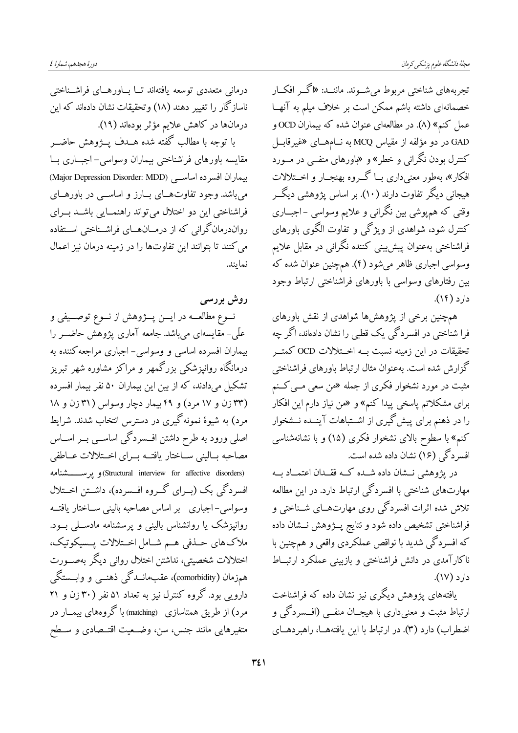تجربههای شناختی مربوط می شـوند. ماننــد: «اگــر افکــار خصمانهای داشته باشم ممکن است بر خلاف میلم به آنهــا عمل کنم» (۸). در مطالعهای عنوان شده که بیماران OCD و GAD در دو مؤلفه از مقياس MCQ به نــامهــاي «غيرقابــل کنترل بودن نگران<sub>ی</sub> و خطر» و «باورهای منفــی در مــورد افکار»، بهطور معنی داری بــا گـــروه بهنجـــار و اخـــتلالات هیجانی دیگر تفاوت دارند (۱۰). بر اساس پژوهشی دیگــر وقتی که همپوشی بین نگرانی و علایم وسواسی –اجبــاری کنترل شود، شواهدی از ویژگی و تفاوت الگوی باورهای فراشناختی بهعنوان پیشیینی کننده نگرانی در مقابل علایم وسواسی اجباری ظاهر میشود (۴). همچنین عنوان شده که بین رفتارهای وسواسی با باورهای فراشناختی ارتباط وجود  $L(f)$  دار د

همچنین برخی از پژوهشها شواهدی از نقش باورهای فرا شناختی در افسردگی یک قطبی را نشان دادهاند، اگر چه تحقیقات در این زمینه نسبت بــه اخــتلالات OCD کمتــر گزارش شده است. بهعنوان مثال ارتباط باورهای فراشناختی مثبت در مورد نشخوار فکری از جمله «من سعی مــی کــنم برای مشکلاتم پاسخی پیدا کنم» و «من نیاز دارم این افکار را در ذهنم برای پیش گیری از اشــتباهات آینــده نــشخوار کنم» با سطوح بالای نشخوار فکری (۱۵) و با نشانهشناسی افسر دگی (۱۶) نشان داده شده است.

در پژوهشی نــشان داده شــده کــه فقــدان اعتمــاد بــه مهارتهای شناختی با افسردگی ارتباط دارد. در این مطالعه تلاش شده اثرات افسردگی روی مهارتهــای شــناختی و فراشناختی تشخیص داده شود و نتایج پــژوهش نــشان داده که افسردگی شدید با نواقص عملکردی واقعی و همچنین با ناکارآمدی در دانش فراشناختی و بازبینی عملکرد ارتبــاط  $L(Y)$  دار د

یافتههای یژوهش دیگری نیز نشان داده که فراشناخت ارتباط مثبت و معنیداری با هیجــان منفــی (افــسردگی و اضطراب) دارد (٣). در ارتباط با اين يافتههــا، راهبردهــاي

دورة هجدهم، شمارة ٤

درمانی متعددی توسعه یافتهاند تــا بــاورهــای فراشــناختی ناسازگار را تغییر دهند (۱۸) وتحقیقات نشان دادهاند که این درمانها در کاهش علایم مؤثر بودهاند (۱۹).

با توجه با مطالب گفته شده هـــدف پـــژوهش حاضـــر مقايسه باورهاي فراشناختي بيماران وسواسي- اجباري بـا بيماران افسر ده اساسي (Major Depression Disorder: MDD) مي باشد. وجود تفاوت هـاي بــارز و اساســي در باورهــاي فراشناختی این دو اختلال می تواند راهنمسایی باشــد بــرای رواندرمان گرانی که از درمــانهــای فراشــناختی اســتفاده می کنند تا بتوانند این تفاوتها را در زمینه درمان نیز اعمال نمايند.

روش بررسی نــوع مطالعـــه در ايـــن پـــژوهش از نـــوع توصـــيفي و علّی- مقایسهای میباشد. جامعه آماری پژوهش حاضــر را بیماران افسرده اساسی و وسواسی- اجباری مراجعه کننده به درمانگاه روانپزشکی بزرگمهر و مراکز مشاوره شهر تبریز تشکیل میدادند، که از بین این بیماران ۵۰ نفر بیمار افسرده (۳۳ زن و ۱۷ مرد) و ۴۹ بیمار دچار وسواس (۳۱ زن و ۱۸ مرد) به شیوهٔ نمونه گیری در دسترس انتخاب شدند. شرایط اصلی ورود به طرح داشتن افسردگی اساســی بــر اســاس مصاحبه بساليني سـاختار يافتــه بــراي اخــتلالات عــاطفى (Structural interview for affective disorders) و يو مستشنامه افسردگی بک (بــرای گــروه افــسرده)، داشــتن اخــتلال وسواسي-اجباري بر اساس مصاحبه باليني سـاختار يافتــه روانپزشک یا روانشناس بالینی و پرسشنامه مادسـلی بـود. ملاک های حــذفی هــم شــامل اخــتلالات پــسیکوتیک، اختلالات شخصيتي، نداشتن اختلال رواني ديگر بهصــورت همزمان (comorbidity)، عقبِمانــدگي ذهنــبي و وابـــستگي دارویی بود. گروه کنترل نیز به تعداد ۵۱ نفر (۳۰ زن و ۲۱ مرد) از طریق همتاسازی (matching) با گروههای بیمــار در متغيرهايي مانند جنس، سن، وضعيت اقتـصادي و سـطح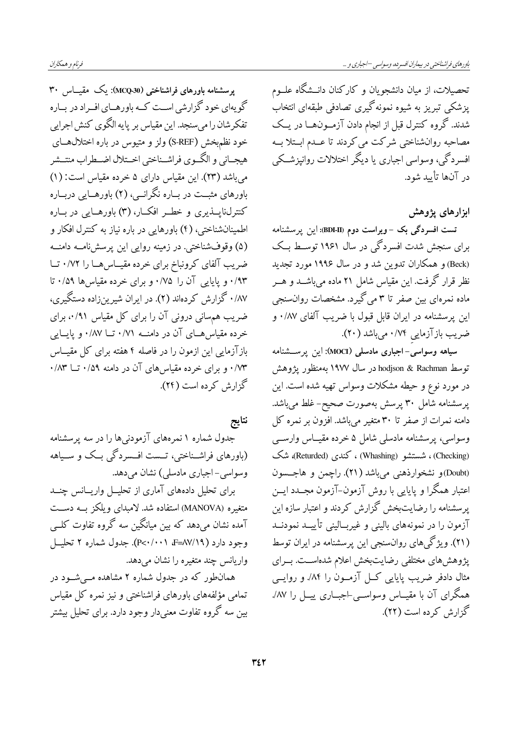تحصیلات، از میان دانشجو یان و کارکنان دانــشگاه علــوم پزشکی تبریز به شیوه نمونه گیری تصادفی طبقهای انتخاب شدند. گروه کنترل قبل از انجام دادن آزمـونهــا در يــک مصاحبه روانشناختی شرکت می کردند تا عــدم ابــتلا بــه افسر دگي، وسواسي اجباري يا ديگر اختلالات روانيزشــکي در آنها تأييد شود.

ابزارهای یژوهش

تست افسردگی بک -ویراست دوم (BDI-II): این پرسشنامه برای سنجش شدت افسردگی در سال ۱۹۶۱ توسـط بـک (Beck) و همکاران تدوین شد و در سال ۱۹۹۶ مورد تجدید نظر قرار گرفت. این مقیاس شامل ۲۱ ماده می باشــد و هــر ماده نمرهای بین صفر تا ۳ می گیرد. مشخصات روان.خی این پرسشنامه در ایران قابل قبول با ضریب آلفای ۰/۸۷ و ضریب بازآزمایی ۰/۷۴ میباشد (۲۰).

سیاهه وسواسی–اجباری مادسلی (MOCI): این پرسشنامه توسط hodjson & Rachman در سال ۱۹۷۷ بهمنظور یژوهش در مورد نوع و حیطه مشکلات وسواس تهیه شده است. این پرسشنامه شامل ۳۰ پرسش بهصورت صحیح- غلط می باشد. دامنه نمرات از صفر تا ۳۰ متغیر میباشد. افزون بر نمره کل وسواسی، پرسشنامه مادسلی شامل ۵ خرده مقیـاس وارســی (Checking) ، شستشو (Whashing) ، كندى (Returded)، شك (Doubt)و نشخوارذهني مي باشد (٢١). راچمن و هاجــسون اعتبار همگرا و پایایی با روش آزمون-آزمون مجــدد ایــن پرسشنامه را رضایتبخش گزارش کردند و اعتبار سازه این آزمون را در نمونههای بالینی و غیربـالینی تأییــد نمودنــد (۲۱). ویژگیهای روانسنجی این پرسشنامه در ایران توسط پژوهش های مختلفی رضایتبخش اعلام شدهاسـت. بــرای مثال دادفر ضریب پایایی کــل آزمــون را ۸۴٪ و روایــی همگرای آن با مقیــاس وسواســی-اجبــاری پیــل را ۸۷٪ گزارش کر ده است (۲۲).

یرمیشنامه باورهای فراشناختی (MCQ-30): یک مقیباس ۳۰ گویهای خود گزارشی اسـت کـه باورهـای افـراد در بـاره تفکرشان را میسنجد. این مقیاس بر پایه الگوی کنش اجرایی خود نظمېخش (S-REF) ولز و متيوس در باره اختلالهــاى هيجــاني و الگــوي فراشــناختي اخــتلال اضــطراب منتــشر می باشد (۲۳). این مقیاس دارای ۵ خرده مقیاس است: (۱) باورهای مثبت در بـاره نگرانــی، (۲) باورهــایی دربــاره کنترل،ناپـــذیری و خطــر افکـــار، (۳) باورهـــایی در بـــاره اطمینانشناختی، (۴) باورهایی در باره نیاز به کنترل افکار و (۵) وقوفشناختی. در زمینه روایی این پرسشنامـه دامنــه

ضریب آلفای کرونباخ برای خرده مقیماسها را ۰/۷۲ ت ۰/۹۳ و پایایی آن را ۰/۷۵ و برای خرده مقیاسها ۰/۵۹ تا ۰/۸۷ گزارش کردهاند (۲). در ایران شیرینزاده دستگیری، ضریب هم سانی درونی آن را برای کل مقیاس ۰/۹۱، برای خرده مقیاس هـای آن در دامنــه ۰/۷۱ تــا ۰/۸۷ و پایــایی بازآزمایی این ازمون را در فاصله ۴ هفته برای کل مقیــاس ۰/۷۳ و برای خرده مقیاس های آن در دامنه ۰/۵۹ تــا ۰/۸۳ گزارش کرده است (۲۴).

نتايج

جدول شماره ۱ نمرههای آزمودنیها را در سه پرسشنامه (باورهای فراشـناختی، تــست افــسردگی بــک و ســیاهه وسواسي–اجباري مادسلي) نشان مي دهد.

برای تحلیل دادههای آماری از تحلیــل واریــانس چنــد متغیره (MANOVA) استفاده شد. لامبدای ویلکز بــه دســت آمده نشان میدهد که بین میانگین سه گروه تفاوت کلــی وجود دارد ( AV/۱۹=& P<۰/۰۰۱). جدول شماره ۲ تحلیـــل واریانس چند متغیره را نشان می دهد.

همانطور که در جدول شماره ۲ مشاهده مــی شــود در تمامی مؤلفههای باورهای فراشناختی و نیز نمره کل مقیاس بین سه گروه تفاوت معنیدار وجود دارد. برای تحلیل بیشتر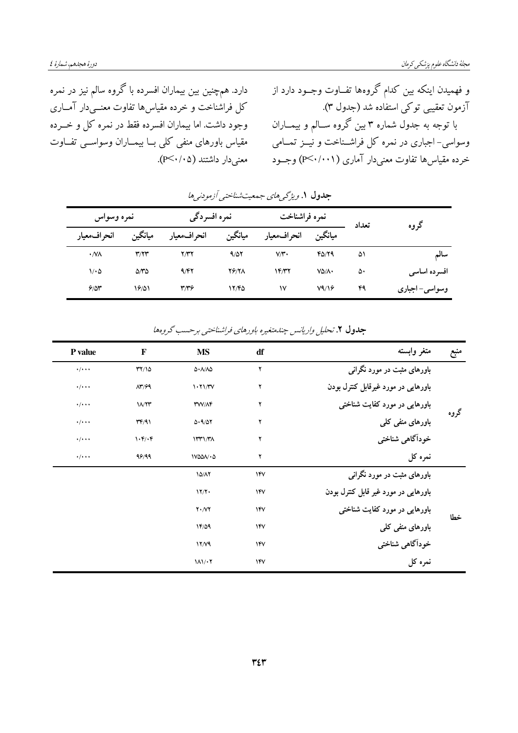دارد. همچنین بین بیماران افسرده با گروه سالم نیز در نمره کل فراشناخت و خرده مقیاسها تفاوت معنــیْ(ر آمــاری وجود داشت. اما بیماران افسرده فقط در نمره کل و خــرده مقیاس باورهای منفی کلی بــا بیمــاران وسواســی تفــاوت معنىدار داشتند (P<۰/۰۵). و فهمیدن اینکه بین کدام گروهها تفــاوت وجــود دارد از آزمون تعقیبی توکی استفاده شد (جدول ۳). با توجه به جدول شماره ۳ بین گروه ســالم و بیمــاران وسواسی- اجباری در نمره کل فراشـناخت و نیــز تمــامی خرده مقیاس ها تفاوت معنی دار آماری (P<۰/۰۰۱) وجـود

|                  | نمره وسواس                  |              | نمره افسردگی |              | نمره فراشناخت     |       | گروه           |
|------------------|-----------------------------|--------------|--------------|--------------|-------------------|-------|----------------|
| انحر اف معيار    | ميانگين                     | انحراف معيار | ميانگين      | انحر اف%عيار | ميانگين           | تعداد |                |
| $\cdot$ NV       | $\mathbf{r}/\mathbf{r}$     | ۲٬۳۲         | 9/07         | V/V          | 40/79             | ۵۱    | سالم           |
| $1/\cdot \Delta$ | $\Delta \mathcal{N} \Delta$ | 9/57         | <b>79/71</b> | 14/۳۲        | $V\Delta/\Lambda$ | ۵۰    | افسرده اساسی   |
| 9/8r             | 18/01                       | 37           | 12/40        | ۱۷           | V9/19             | ۴۹    | وسواسی– اجباری |

جلدول ۱. ویژگے های جمعیت شناختی آزمودنی ها

| منبع | متغر وابسته                               | df         | <b>MS</b>                               | F                    | P value                 |
|------|-------------------------------------------|------------|-----------------------------------------|----------------------|-------------------------|
| گروه | باورهای مثبت در مورد نگرانی               | ۲          | $\Delta \cdot \Lambda / \Lambda \Delta$ | YY/10                | $\cdot/\cdot\cdot\cdot$ |
|      | باورهایی در مورد غیرقابل کنترل بودن       | ۲          | 1.71/TV                                 | $\Lambda r/99$       | $\cdot/\cdot\cdot\cdot$ |
|      | باورهایی در مورد کفایت شناخت <sub>ی</sub> | ۲          | <b>MV/AF</b>                            | 11/٢٣                | $\cdot/\cdot\cdot\cdot$ |
|      | باورهای منفی کلی                          | ۲          | 0.9/07                                  | $\Upsilon$           | $\cdot/\cdot\cdot\cdot$ |
|      | خودآگاهي شناختي                           | ۲          | 1141/T <sub>A</sub>                     | $\mathcal{N}(\cdot)$ | $\cdot/\cdot\cdot\cdot$ |
|      | نمرہ کل                                   | ۲          | $V\Delta\Delta\Lambda\cdot\Delta$       | 99/99                | $\cdot/\cdot\cdot\cdot$ |
|      | باورهای مثبت در مورد نگرانی               | 14V        | 10/17                                   |                      |                         |
| خطا  | باورهایی در مورد غیر قابل کنترل بودن      | <b>IFV</b> | 17/7                                    |                      |                         |
|      | باورهایی در مورد کفایت شناخت <u>ی</u>     | 14V        | $Y \cdot \mathcal{N}$                   |                      |                         |
|      | باورهای منفی کلی                          | 14V        | 14/09                                   |                      |                         |
|      | خودآگاهي شناختي                           | 14V        | 17/9                                    |                      |                         |
|      | نمرہ کل                                   | 14V        | $11/\cdot 7$                            |                      |                         |

جلول ۲. تحلیل واریانس چندمتغیره باورهای فراشناختبی پرحسب گروهها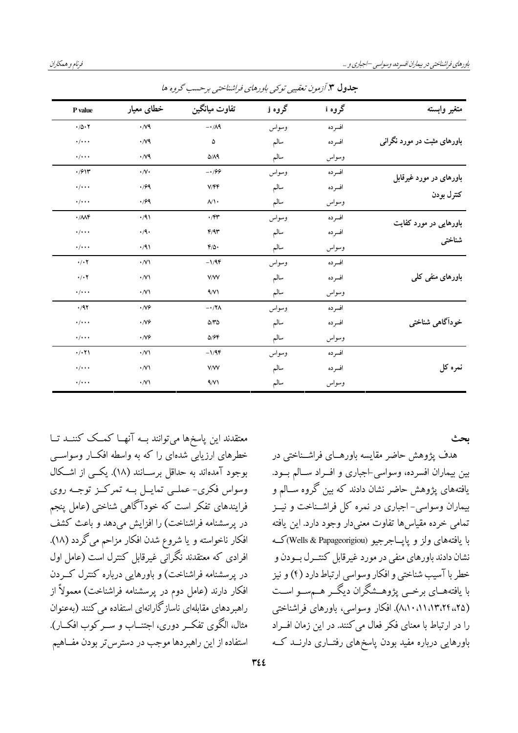| متغير وابسته                          | گروه i | گروه j | تفاوت ميانگين            | خطای معیار         | P value                        |
|---------------------------------------|--------|--------|--------------------------|--------------------|--------------------------------|
| باورهای مثبت در مورد نگرانی           | افسرده | وسواس  | $-\cdot/\Lambda$ ٩       | $\cdot$ / $\vee$ 9 | $\cdot/\Delta \cdot 7$         |
|                                       | افسرده | سالم   | ۵                        | $\cdot$ / $\vee$   | $\cdot/\cdot\cdot$             |
|                                       | وسواس  | سالم   | $\Delta/\Lambda$ ٩       | $\cdot$ / $\vee$ 9 | $\cdot/\cdot\cdot\cdot$        |
| باورهای در مورد غیرقابل<br>كنترل بودن | افسرده | وسواس  | $-199$                   | $\cdot/\sqrt{2}$   | .911                           |
|                                       | افسرده | سالم   | V/FF                     | .799               | $\cdot/\cdot\cdot\cdot$        |
|                                       | وسواس  | سالم   | $\mathcal{N}$            | .799               | $\cdot/\cdot\cdot\cdot$        |
| باورهایی در مورد کفایت<br>شناختى      | افسرده | وسواس  | $\cdot$ /۴۳              | $\cdot$ /9)        | $\cdot/\mathcal{M}$            |
|                                       | افسرده | سالم   | F/9r                     | $\cdot$ /9.        | $\cdot/\cdot\cdot\cdot$        |
|                                       | وسواس  | سالم   | $f/\Delta$ .             | $\cdot$ /9)        | $\cdot/\cdot\cdot\cdot$        |
| باورهای منفی کلی                      | افسرده | وسواس  | $-1/9$ ۴                 | $\cdot$ /V)        | $\cdot$ / $\cdot$              |
|                                       | افسرده | سالم   | <b>V/W</b>               | $\cdot$ /V)        | $\cdot$ / $\cdot$              |
|                                       | وسواس  | سالم   | $\sqrt{\sqrt{}}$         | $\cdot$ /V)        | $\cdot/\cdot\cdot\cdot$        |
| خودآگاهی شناختی                       | افسرده | وسواس  | $-\cdot$ /۲ $\Lambda$    | $\cdot$ /V $\circ$ | $\cdot$ /9٢                    |
|                                       | افسرده | سالم   | $\Delta/\Upsilon\Delta$  | $\cdot$ /V $\circ$ | $\cdot/\cdot\cdot\cdot$        |
|                                       | وسواس  | سالم   | $\Delta$ / $\mathcal{F}$ | $\cdot$ /V $\circ$ | $\cdot/\cdot\cdot\cdot$        |
| نمرہ کل                               | افسرده | وسواس  | $-1/9$ F                 | $\cdot$ /V)        | $\cdot$ / $\cdot$ $\uparrow$ \ |
|                                       | افسرده | سالم   | <b>V/W</b>               | $\cdot$ /V)        | $\cdot/\cdot\cdot\cdot$        |
|                                       | وسواس  | سالم   | 9/11                     | $\cdot$ /V         | $\cdot/\cdot\cdot\cdot$        |

**حلدول ۳**. آزمون تعقیبے توکیے پاورهای فراشناختبے پرحس*پ گ*روہ ها

معتقدند این پاسخها میتوانند بــه آنهــا کمــک کننــد تــا خطرهای ارزیابی شدهای را که به واسطه افکـار وسواســی بوجود آمدهاند به حداقل برســانند (١٨). یکــی از اشــکال وسواس فکري- عملــي تمايــل بــه تمرکــز توجــه روي فرایندهای تفکر است که خودآگاهی شناختی (عامل پنجم در پرسشنامه فراشناخت) را افزایش می دهد و باعث کشف افکار ناخواسته و یا شروع شدن افکار مزاحم میگردد (۱۸). افرادی که معتقدند نگرانی غیرقابل کنترل است (عامل اول در پرسشنامه فراشناخت) و باورهایی درباره کنترل کـردن افکار دارند (عامل دوم در پرسشنامه فراشناخت) معمولاً از راهبردهای مقابلهای ناسازگارانهای استفاده می کنند (بهعنوان مثال، الگوی تفکیر دوری، اجتنساب و سبر کوب افکبار). استفاده از این راهبر دها موجب در دستر س تر بودن مفــاهیم

بحث

هدف پژوهش حاضر مقایسه باورهــای فراشــناختی در بین بیماران افسرده، وسواسی-اجباری و افــراد ســالم بــود. یافتههای یژوهش حاضر نشان دادند که بین گروه ســالم و بیماران وسواسی- اجباری در نمره کل فراشـناخت و نیــز تمامي خرده مقياسها تفاوت معنىدار وجود دارد. اين يافته با يافتههاي ولز و يايــاجرجيو (Wells & Papageorigiou)كــه نشان دادند باورهای منفی در مورد غیر قابل کنتــر ل بــودن و خطر با آسيب شناختي و افكار وسواسي ارتباط دارد (۴) و نيز با یافتههــای برخــی پژوهــشگران دیگــر هــمســو اســت (۸،۱۰،۱۱،۱۳،۲۴،،۲۵). افکار وسواسی، باورهای فراشناختی را در ارتباط با معنای فکر فعال می کنند. در این زمان افــراد باورهایی درباره مفید بودن یاسخهای رفتــاری دارنــد کــه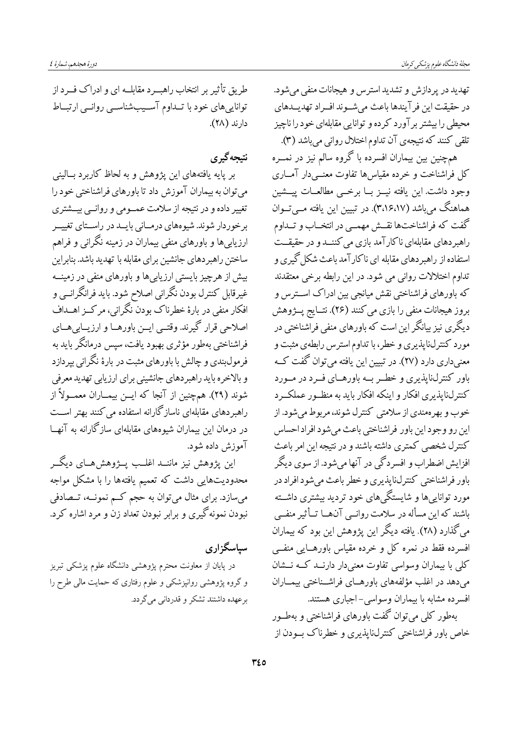دورة هجدهم، شمارة ٤

تهدید در پر دازش و تشدید استرس و هیجانات منفی می شود. در حقيقت اين فرآيندها باعث مي شوند افراد تهديلدهاي محیطی را بیشتر بر آورد کرده و توانایی مقابلهای خود را ناچیز تلقی کنند که نتیجهی آن تداوم اختلال روانی میباشد (۳).

همچنین بین بیماران افسرده با گروه سالم نیز در نمــره كل فراشناخت و خرده مقياسها تفاوت معنــي دار آمــاري وجود داشت. اين يافته نيــز بــا برخــي مطالعــات پيـــشين هماهنگ میباشد (۳،۱۶،۱۷). در تبیین این یافته مــیتــوان گفت که فراشناختها نقش مهمبی در انتخــاب و تــداوم راهبر دهای مقابلهای ناکار آمد بازی می کننــد و در حقیقــت استفاده از راهبردهای مقابله ای ناکارآمد باعث شکل گیری و تداوم اختلالات رواني مي شود. در اين رابطه برخي معتقدند که باورهای فراشناختی نقش میانجی بین ادراک اســترس و بروز هيجانات منفي را بازي مي كنند (٢۶). نتــايج يــژوهش دیگری نیز بیانگر این است که باورهای منفی فراشناختی در مورد کنترل،ناپذیری و خطر، با تداوم استرس رابطهی مثبت و معنیداری دارد (۲۷). در تبیین این یافته میتوان گفت کـه باور کنترلناپذیری و خط رب به باورهـای فـرد در مـورد کنترل،ناپذیری افکار و اینکه افکار باید به منظـور عملکـرد خوب و بهرهمندي از سلامتي كنترل شوند، مربوط مي شود. از اين رو وجود اين باور فراشناختي باعث مي شود افراد احساس كنترل شخصي كمترى داشته باشند و در نتيجه اين امر باعث افزايش اضطراب و افسردگي در آنها مي شود. از سوي ديگر باور فراشناختي کنتر ل&نا پذيري و خطر باعث مي شود افراد در مورد تواناییها و شایستگیهای خود تردید بیشتری داشــته باشند که این مسأله در سلامت روانبی آنهسا تــأثیر منفــی می گذارد (۲۸). یافته دیگر این پژوهش این بود که بیماران افسرده فقط در نمره کل و خرده مقیاس باورهــایی منفــی کلی با بیماران وسواسی تفاوت معنیدار دارنــد کــه نــشان می دهد در اغلب مؤلفههای باورهـای فراشــناختی بیمــاران افسرده مشابه با بیماران وسواسی-اجباری هستند.

بهطور کلی می توان گفت باورهای فراشناختی و بهطــور خاص باور فراشناختی کنترل،ناپذیری و خطرناک بسودن از

طریق تأثیر بر انتخاب راهب د مقابلــه ای و ادراک فــرد از تواناییهای خود با تـداوم آسـیبشناسـی روانـی ارتبـاط دارند (٢٨).

## نتىحەگىرى

بر پایه یافتههای این پژوهش و به لحاظ کاربرد بــالینی می توان به بیماران آموزش داد تا باورهای فراشناختی خود را تغییر داده و در نتیجه از سلامت عمـومی و روانــی بیــشتری برخوردار شوند. شیوههای درمـانی بایــد در راسـتای تغییــر ارزیابی ها و باورهای منفی بیماران در زمینه نگرانی و فراهم ساختن راهبردهای جانشین برای مقابله با تهدید باشد. بنابراین بیش از هرچیز بایستی ارزیایی ها و باورهای منفی در زمینــه غیرقابل کنترل بودن نگرانی اصلاح شود. باید فرانگرانــی و افکار منفی در بارهٔ خطرناک بودن نگرانی، مرکــز اهــداف اصلاحي قرار گيرند. وقتــي ايــن باورهــا و ارزيــابي@ــاي فراشناختی بهطور مؤثری بهبود یافت، سپس درمانگر باید به فرمولبندی و چالش با باورهای مثبت در بارهٔ نگرانی بپردازد و بالاخره باید راهبردهای جانشینی برای ارزیابی تهدید معرفی شوند (٢٩). همچنین از آنجا که ایــن بیمــاران معمــولاً از راهبردهای مقابلهای ناسازگارانه استفاده می کنند بهتر اســت در درمان این بیماران شیوههای مقابلهای سازگارانه به آنهــا آموزش داده شود.

این یژوهش نیز ماننــد اغلــب پـــژوهشهــای دیگـــر محدودیتهایی داشت که تعمیم یافتهها را با مشکل مواجه میسازد. برای مثال میتوان به حجم کــم نمونــه، تــصادفی نبودن نمونه گيري و برابر نبودن تعداد زن و مرد اشاره كرد.

سیاسگزاری در پایان از معاونت محترم پژوهشی دانشگاه علوم پزشکی تبریز و گروه پژوهشی روانپزشکی و علوم رفتاری که حمایت مالی طرح را برعهده داشتند تشکر و قدردانی می گردد.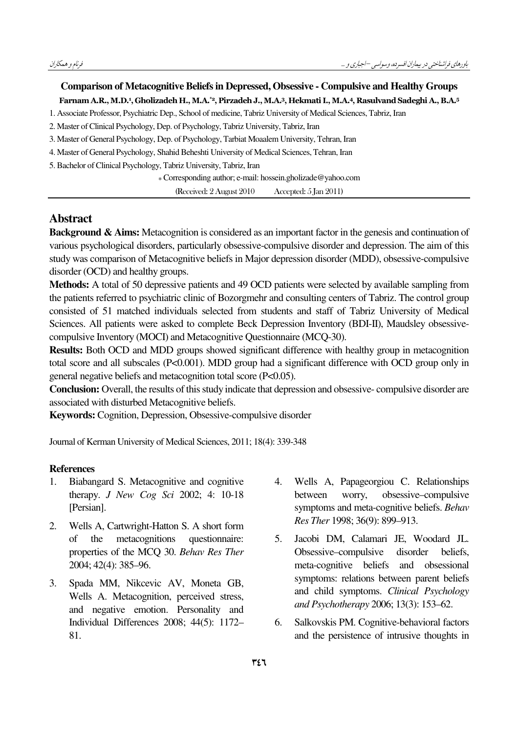### Comparison of Metacognitive Beliefs in Depressed, Obsessive - Compulsive and Healthy Groups Farnam A.R., M.D.<sup>1</sup>, Gholizadeh H., M.A.\*<sup>2</sup>, Pirzadeh J., M.A.<sup>3</sup>, Hekmati I., M.A.<sup>4</sup>, Rasulvand Sadeghi A., B.A.<sup>5</sup>

1. Associate Professor, Psychiatric Dep., School of medicine, Tabriz University of Medical Sciences, Tabriz, Iran

2. Master of Clinical Psychology, Dep. of Psychology, Tabriz University, Tabriz, Iran

3. Master of General Psychology, Dep. of Psychology, Tarbiat Moaalem University, Tehran, Iran

4. Master of General Psychology, Shahid Beheshti University of Medical Sciences, Tehran, Iran

5. Bachelor of Clinical Psychology, Tabriz University, Tabriz, Iran

\* Corresponding author; e-mail: hossein.gholizade@yahoo.com

(Received: 2 August 2 010 Accepted: 5 Jan 2011)

### Abstract

Background & Aims: Metacognition is considered as an important factor in the genesis and continuation of various psychological disorders, particularly obsessive-compulsive disorder and depression. The aim of this study was comparison of Metacognitive beliefs in Major depression disorder (MDD), obsessive-compulsive disorder (OCD) and healthy groups.

Methods: A total of 50 depressive patients and 49 OCD patients were selected by available sampling from the patients referred to psychiatric clinic of Bozorgmehr and consulting centers of Tabriz. The control group consisted of 51 matched individuals selected from students and staff of Tabriz University of Medical Sciences. All patients were asked to complete Beck Depression Inventory (BDI-II), Maudsley obsessivecompulsive Inventory (MOCI) and Metacognitive Questionnaire (MCQ-30).

Results: Both OCD and MDD groups showed significant difference with healthy group in metacognition total score and all subscales (P<0.001). MDD group had a significant difference with OCD group only in general negative beliefs and metacognition total score (P<0.05).

Conclusion: Overall, the results of this study indicate that depression and obsessive- compulsive disorder are associated with disturbed Metacognitive beliefs.

Keywords: Cognition, Depression, Obsessive-compulsive disorder

Journal of Kerman University of Medical Sciences, 2011; 18(4): 339-348

#### **References**

- 1. Biabangard S. Metacognitive and cognitive therapy. J New Cog Sci 2002; 4: 10-18 [Persian].
- 2. Wells A, Cartwright-Hatton S. A short form of the metacognitions questionnaire: properties of the MCQ 30. Behav Res Ther 2004; 42(4): 385–96.
- 3. Spada MM, Nikcevic AV, Moneta GB, Wells A. Metacognition, perceived stress, and negative emotion. Personality and Individual Differences 2008; 44(5): 1172– 81.
- 4. Wells A, Papageorgiou C. Relationships between worry, obsessive–compulsive symptoms and meta-cognitive beliefs. Behav Res Ther 1998; 36(9): 899–913.
- 5. Jacobi DM, Calamari JE, Woodard JL. Obsessive–compulsive disorder beliefs, meta-cognitive beliefs and obsessional symptoms: relations between parent beliefs and child symptoms. Clinical Psychology and Psychotherapy 2006; 13(3): 153–62.
- 6. Salkovskis PM. Cognitive-behavioral factors and the persistence of intrusive thoughts in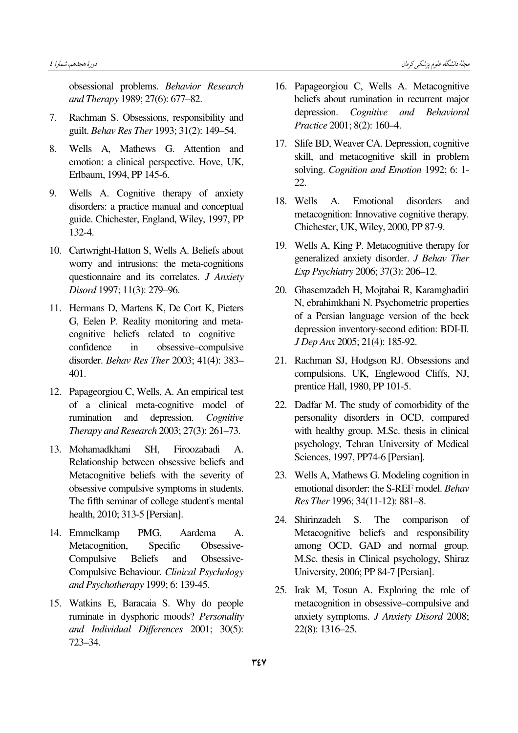obsessional problems. Behavior Research and Therapy 1989; 27(6): 677–82.

- 7. Rachman S. Obsessions, responsibility and guilt. Behav Res Ther 1993; 31(2): 149–54.
- 8. Wells A, Mathews G. Attention and emotion: a clinical perspective. Hove, UK, Erlbaum, 1994, PP 145-6.
- 9. Wells A. Cognitive therapy of anxiety disorders: a practice manual and conceptual guide. Chichester, England, Wiley, 1997, PP 132-4.
- 10. Cartwright-Hatton S, Wells A. Beliefs about worry and intrusions: the meta-cognitions questionnaire and its correlates. J Anxiety Disord 1997; 11(3): 279–96.
- 11. Hermans D, Martens K, De Cort K, Pieters G, Eelen P. Reality monitoring and metacognitive beliefs related to cognitive confidence in obsessive–compulsive disorder. Behav Res Ther 2003; 41(4): 383– 401.
- 12. Papageorgiou C, Wells, A. An empirical test of a clinical meta-cognitive model of rumination and depression. Cognitive Therapy and Research 2003; 27(3): 261–73.
- 13. Mohamadkhani SH, Firoozabadi A. Relationship between obsessive beliefs and Metacognitive beliefs with the severity of obsessive compulsive symptoms in students. The fifth seminar of college student's mental health, 2010; 313-5 [Persian].
- 14. Emmelkamp PMG, Aardema A. Metacognition, Specific Obsessive-Compulsive Beliefs and Obsessive-Compulsive Behaviour. Clinical Psychology and Psychotherapy 1999; 6: 139-45.
- 15. Watkins E, Baracaia S. Why do people ruminate in dysphoric moods? Personality and Individual Differences 2001; 30(5): 723–34.
- 16. Papageorgiou C, Wells A. Metacognitive beliefs about rumination in recurrent major depression. Cognitive and Behavioral Practice 2001; 8(2): 160–4.
- 17. Slife BD, Weaver CA. Depression, cognitive skill, and metacognitive skill in problem solving. Cognition and Emotion 1992; 6: 1- 22.
- 18. Wells A. Emotional disorders and metacognition: Innovative cognitive therapy. Chichester, UK, Wiley, 2000, PP 87-9.
- 19. Wells A, King P. Metacognitive therapy for generalized anxiety disorder. J Behav Ther Exp Psychiatry 2006; 37(3): 206–12.
- 20. Ghasemzadeh H, Mojtabai R, Karamghadiri N, ebrahimkhani N. Psychometric properties of a Persian language version of the beck depression inventory-second edition: BDI-II. J Dep Anx 2005; 21(4): 185-92.
- 21. Rachman SJ, Hodgson RJ. Obsessions and compulsions. UK, Englewood Cliffs, NJ, prentice Hall, 1980, PP 101-5.
- 22. Dadfar M. The study of comorbidity of the personality disorders in OCD, compared with healthy group. M.Sc. thesis in clinical psychology, Tehran University of Medical Sciences, 1997, PP74-6 [Persian].
- 23. Wells A, Mathews G. Modeling cognition in emotional disorder: the S-REF model. Behav Res Ther 1996; 34(11-12): 881–8.
- 24. Shirinzadeh S. The comparison of Metacognitive beliefs and responsibility among OCD, GAD and normal group. M.Sc. thesis in Clinical psychology, Shiraz University, 2006; PP 84-7 [Persian].
- 25. Irak M, Tosun A. Exploring the role of metacognition in obsessive–compulsive and anxiety symptoms. J Anxiety Disord 2008; 22(8): 1316–25.